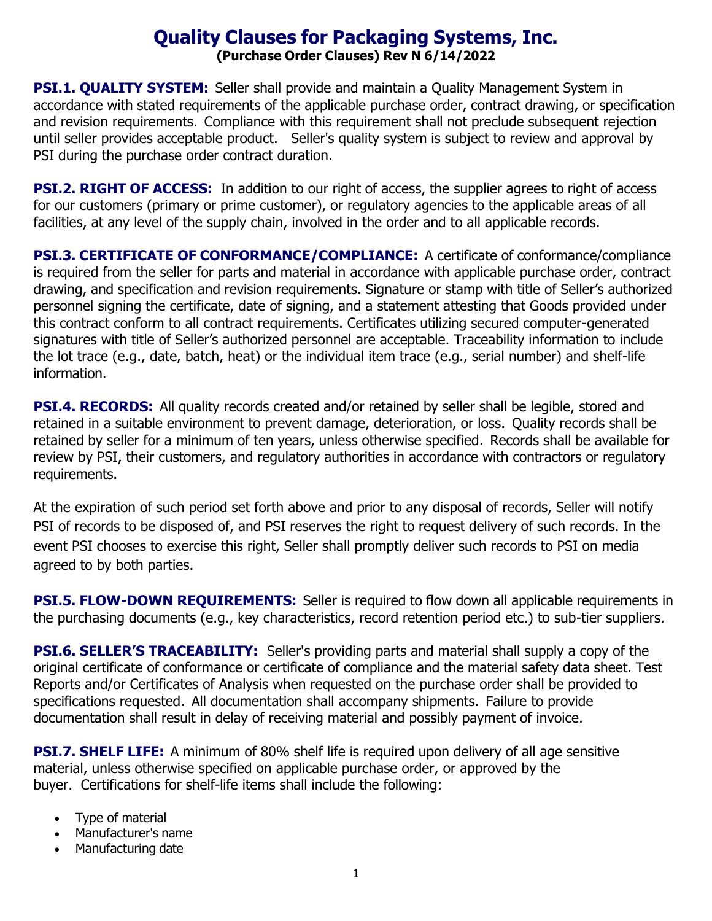# **Quality Clauses for Packaging Systems, Inc. (Purchase Order Clauses) Rev N 6/14/2022**

**PSI.1. QUALITY SYSTEM:** Seller shall provide and maintain a Quality Management System in accordance with stated requirements of the applicable purchase order, contract drawing, or specification and revision requirements. Compliance with this requirement shall not preclude subsequent rejection until seller provides acceptable product. Seller's quality system is subject to review and approval by PSI during the purchase order contract duration.

**PSI.2. RIGHT OF ACCESS:** In addition to our right of access, the supplier agrees to right of access for our customers (primary or prime customer), or regulatory agencies to the applicable areas of all facilities, at any level of the supply chain, involved in the order and to all applicable records.

**PSI.3. CERTIFICATE OF CONFORMANCE/COMPLIANCE:** A certificate of conformance/compliance is required from the seller for parts and material in accordance with applicable purchase order, contract drawing, and specification and revision requirements. Signature or stamp with title of Seller's authorized personnel signing the certificate, date of signing, and a statement attesting that Goods provided under this contract conform to all contract requirements. Certificates utilizing secured computer-generated signatures with title of Seller's authorized personnel are acceptable. Traceability information to include the lot trace (e.g., date, batch, heat) or the individual item trace (e.g., serial number) and shelf-life information.

**PSI.4. RECORDS:** All quality records created and/or retained by seller shall be legible, stored and retained in a suitable environment to prevent damage, deterioration, or loss. Quality records shall be retained by seller for a minimum of ten years, unless otherwise specified. Records shall be available for review by PSI, their customers, and regulatory authorities in accordance with contractors or regulatory requirements.

At the expiration of such period set forth above and prior to any disposal of records, Seller will notify PSI of records to be disposed of, and PSI reserves the right to request delivery of such records. In the event PSI chooses to exercise this right, Seller shall promptly deliver such records to PSI on media agreed to by both parties.

**PSI.5. FLOW-DOWN REQUIREMENTS:** Seller is required to flow down all applicable requirements in the purchasing documents (e.g., key characteristics, record retention period etc.) to sub-tier suppliers.

**PSI.6. SELLER'S TRACEABILITY:** Seller's providing parts and material shall supply a copy of the original certificate of conformance or certificate of compliance and the material safety data sheet. Test Reports and/or Certificates of Analysis when requested on the purchase order shall be provided to specifications requested. All documentation shall accompany shipments. Failure to provide documentation shall result in delay of receiving material and possibly payment of invoice.

**PSI.7. SHELF LIFE:** A minimum of 80% shelf life is required upon delivery of all age sensitive material, unless otherwise specified on applicable purchase order, or approved by the buyer. Certifications for shelf-life items shall include the following:

- Type of material
- Manufacturer's name
- Manufacturing date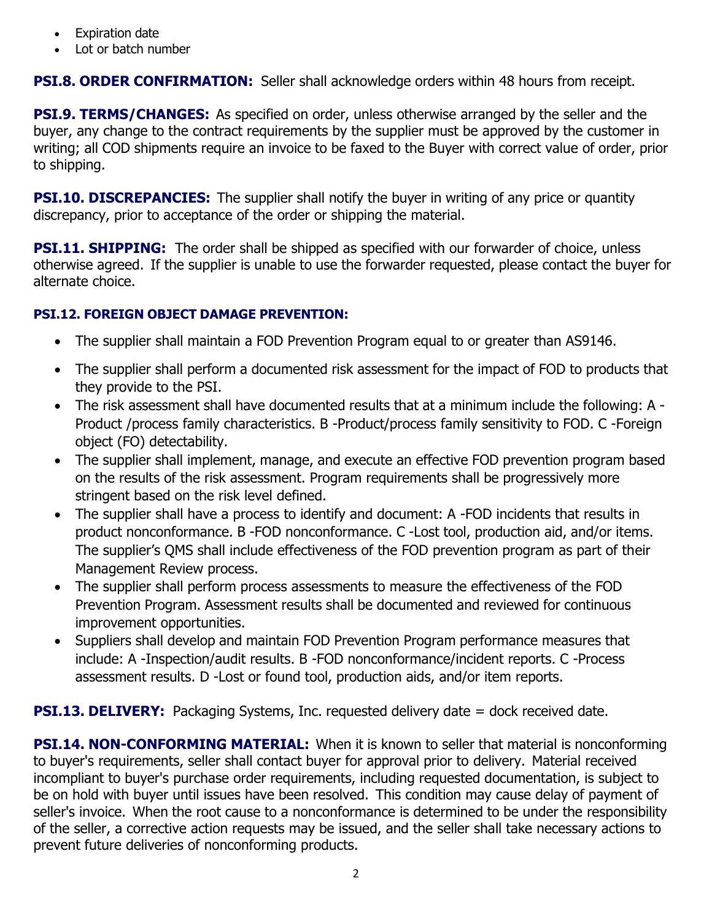- **Expiration date**
- Lot or batch number

## **PSI.8. ORDER CONFIRMATION:** Seller shall acknowledge orders within 48 hours from receipt.

**PSI.9. TERMS/CHANGES:** As specified on order, unless otherwise arranged by the seller and the buyer, any change to the contract requirements by the supplier must be approved by the customer in writing; all COD shipments require an invoice to be faxed to the Buyer with correct value of order, prior to shipping.

**PSI.10. DISCREPANCIES:** The supplier shall notify the buyer in writing of any price or quantity discrepancy, prior to acceptance of the order or shipping the material.

**PSI.11. SHIPPING:** The order shall be shipped as specified with our forwarder of choice, unless otherwise agreed. If the supplier is unable to use the forwarder requested, please contact the buyer for alternate choice.

### **PSI.12. FOREIGN OBJECT DAMAGE PREVENTION:**

- The supplier shall maintain a FOD Prevention Program equal to or greater than AS9146.
- The supplier shall perform a documented risk assessment for the impact of FOD to products that they provide to the PSI.
- The risk assessment shall have documented results that at a minimum include the following: A Product /process family characteristics. B -Product/process family sensitivity to FOD. C -Foreign object (FO) detectability.
- The supplier shall implement, manage, and execute an effective FOD prevention program based on the results of the risk assessment. Program requirements shall be progressively more stringent based on the risk level defined.
- The supplier shall have a process to identify and document: A -FOD incidents that results in product nonconformance. B -FOD nonconformance. C -Lost tool, production aid, and/or items. The supplier's QMS shall include effectiveness of the FOD prevention program as part of their Management Review process.
- The supplier shall perform process assessments to measure the effectiveness of the FOD Prevention Program. Assessment results shall be documented and reviewed for continuous improvement opportunities.
- Suppliers shall develop and maintain FOD Prevention Program performance measures that include: A -Inspection/audit results. B -FOD nonconformance/incident reports. C -Process assessment results. D -Lost or found tool, production aids, and/or item reports.

**PSI.13. DELIVERY:** Packaging Systems, Inc. requested delivery date = dock received date.

**PSI.14. NON-CONFORMING MATERIAL:** When it is known to seller that material is nonconforming to buyer's requirements, seller shall contact buyer for approval prior to delivery. Material received incompliant to buyer's purchase order requirements, including requested documentation, is subject to be on hold with buyer until issues have been resolved. This condition may cause delay of payment of seller's invoice. When the root cause to a nonconformance is determined to be under the responsibility of the seller, a corrective action requests may be issued, and the seller shall take necessary actions to prevent future deliveries of nonconforming products.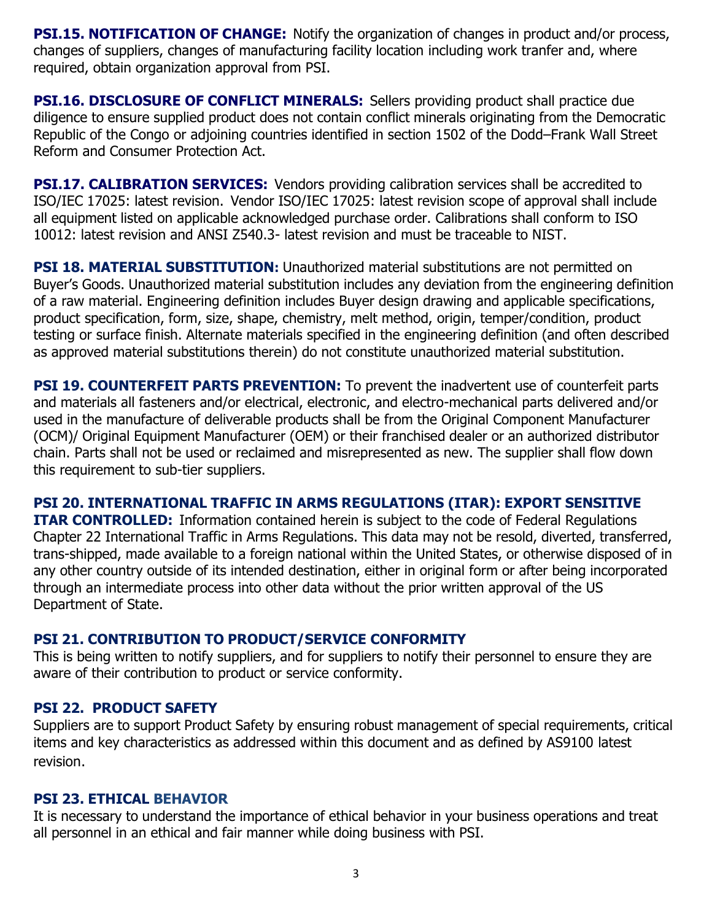**PSI.15. NOTIFICATION OF CHANGE:** Notify the organization of changes in product and/or process, changes of suppliers, changes of manufacturing facility location including work tranfer and, where required, obtain organization approval from PSI.

**PSI.16. DISCLOSURE OF CONFLICT MINERALS:** Sellers providing product shall practice due diligence to ensure supplied product does not contain conflict minerals originating from the Democratic Republic of the Congo or adjoining countries identified in section 1502 of the Dodd–Frank Wall Street Reform and Consumer Protection Act.

**PSI.17. CALIBRATION SERVICES:** Vendors providing calibration services shall be accredited to ISO/IEC 17025: latest revision. Vendor ISO/IEC 17025: latest revision scope of approval shall include all equipment listed on applicable acknowledged purchase order. Calibrations shall conform to ISO 10012: latest revision and ANSI Z540.3- latest revision and must be traceable to NIST.

**PSI 18. MATERIAL SUBSTITUTION:** Unauthorized material substitutions are not permitted on Buyer's Goods. Unauthorized material substitution includes any deviation from the engineering definition of a raw material. Engineering definition includes Buyer design drawing and applicable specifications, product specification, form, size, shape, chemistry, melt method, origin, temper/condition, product testing or surface finish. Alternate materials specified in the engineering definition (and often described as approved material substitutions therein) do not constitute unauthorized material substitution.

**PSI 19. COUNTERFEIT PARTS PREVENTION:** To prevent the inadvertent use of counterfeit parts and materials all fasteners and/or electrical, electronic, and electro-mechanical parts delivered and/or used in the manufacture of deliverable products shall be from the Original Component Manufacturer (OCM)/ Original Equipment Manufacturer (OEM) or their franchised dealer or an authorized distributor chain. Parts shall not be used or reclaimed and misrepresented as new. The supplier shall flow down this requirement to sub-tier suppliers.

## **PSI 20. INTERNATIONAL TRAFFIC IN ARMS REGULATIONS (ITAR): EXPORT SENSITIVE**

**ITAR CONTROLLED:** Information contained herein is subject to the code of Federal Regulations Chapter 22 International Traffic in Arms Regulations. This data may not be resold, diverted, transferred, trans-shipped, made available to a foreign national within the United States, or otherwise disposed of in any other country outside of its intended destination, either in original form or after being incorporated through an intermediate process into other data without the prior written approval of the US Department of State.

### **PSI 21. CONTRIBUTION TO PRODUCT/SERVICE CONFORMITY**

This is being written to notify suppliers, and for suppliers to notify their personnel to ensure they are aware of their contribution to product or service conformity.

### **PSI 22. PRODUCT SAFETY**

Suppliers are to support Product Safety by ensuring robust management of special requirements, critical items and key characteristics as addressed within this document and as defined by AS9100 latest revision.

#### **PSI 23. ETHICAL BEHAVIOR**

It is necessary to understand the importance of ethical behavior in your business operations and treat all personnel in an ethical and fair manner while doing business with PSI.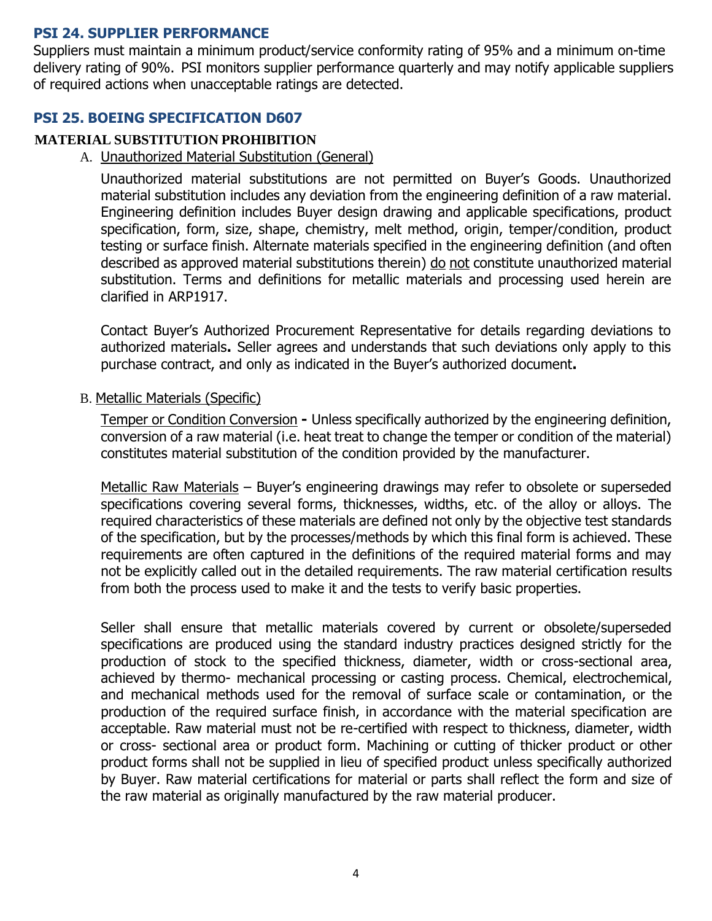### **PSI 24. SUPPLIER PERFORMANCE**

Suppliers must maintain a minimum product/service conformity rating of 95% and a minimum on-time delivery rating of 90%. PSI monitors supplier performance quarterly and may notify applicable suppliers of required actions when unacceptable ratings are detected.

#### **PSI 25. BOEING SPECIFICATION D607**

#### **MATERIAL SUBSTITUTION PROHIBITION**

A. Unauthorized Material Substitution (General)

Unauthorized material substitutions are not permitted on Buyer's Goods. Unauthorized material substitution includes any deviation from the engineering definition of a raw material. Engineering definition includes Buyer design drawing and applicable specifications, product specification, form, size, shape, chemistry, melt method, origin, temper/condition, product testing or surface finish. Alternate materials specified in the engineering definition (and often described as approved material substitutions therein) do not constitute unauthorized material substitution. Terms and definitions for metallic materials and processing used herein are clarified in ARP1917.

Contact Buyer's Authorized Procurement Representative for details regarding deviations to authorized materials**.** Seller agrees and understands that such deviations only apply to this purchase contract, and only as indicated in the Buyer's authorized document**.**

B. Metallic Materials (Specific)

Temper or Condition Conversion **-** Unless specifically authorized by the engineering definition, conversion of a raw material (i.e. heat treat to change the temper or condition of the material) constitutes material substitution of the condition provided by the manufacturer.

Metallic Raw Materials – Buyer's engineering drawings may refer to obsolete or superseded specifications covering several forms, thicknesses, widths, etc. of the alloy or alloys. The required characteristics of these materials are defined not only by the objective test standards of the specification, but by the processes/methods by which this final form is achieved. These requirements are often captured in the definitions of the required material forms and may not be explicitly called out in the detailed requirements. The raw material certification results from both the process used to make it and the tests to verify basic properties.

Seller shall ensure that metallic materials covered by current or obsolete/superseded specifications are produced using the standard industry practices designed strictly for the production of stock to the specified thickness, diameter, width or cross-sectional area, achieved by thermo- mechanical processing or casting process. Chemical, electrochemical, and mechanical methods used for the removal of surface scale or contamination, or the production of the required surface finish, in accordance with the material specification are acceptable. Raw material must not be re-certified with respect to thickness, diameter, width or cross- sectional area or product form. Machining or cutting of thicker product or other product forms shall not be supplied in lieu of specified product unless specifically authorized by Buyer. Raw material certifications for material or parts shall reflect the form and size of the raw material as originally manufactured by the raw material producer.